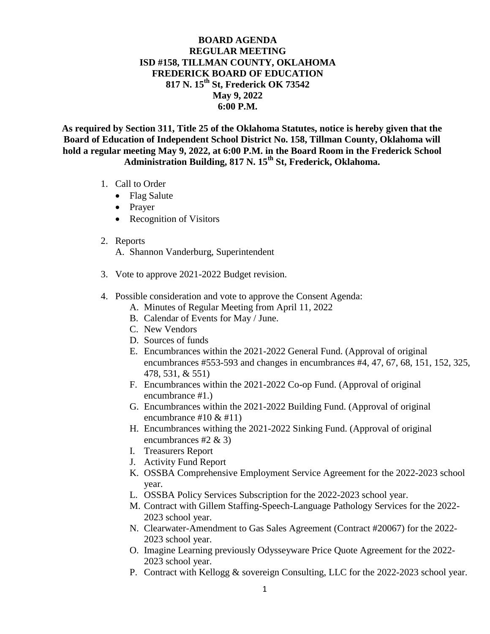## **BOARD AGENDA REGULAR MEETING ISD #158, TILLMAN COUNTY, OKLAHOMA FREDERICK BOARD OF EDUCATION 817 N. 15th St, Frederick OK 73542 May 9, 2022 6:00 P.M.**

**As required by Section 311, Title 25 of the Oklahoma Statutes, notice is hereby given that the Board of Education of Independent School District No. 158, Tillman County, Oklahoma will hold a regular meeting May 9, 2022, at 6:00 P.M. in the Board Room in the Frederick School Administration Building, 817 N. 15th St, Frederick, Oklahoma.**

- 1. Call to Order
	- Flag Salute
	- Prayer
	- Recognition of Visitors
- 2. Reports

A. Shannon Vanderburg, Superintendent

- 3. Vote to approve 2021-2022 Budget revision.
- 4. Possible consideration and vote to approve the Consent Agenda:
	- A. Minutes of Regular Meeting from April 11, 2022
	- B. Calendar of Events for May / June.
	- C. New Vendors
	- D. Sources of funds
	- E. Encumbrances within the 2021-2022 General Fund. (Approval of original encumbrances #553-593 and changes in encumbrances #4, 47, 67, 68, 151, 152, 325, 478, 531, & 551)
	- F. Encumbrances within the 2021-2022 Co-op Fund. (Approval of original encumbrance #1.)
	- G. Encumbrances within the 2021-2022 Building Fund. (Approval of original encumbrance  $\#10 \& \#11$
	- H. Encumbrances withing the 2021-2022 Sinking Fund. (Approval of original encumbrances #2 & 3)
	- I. Treasurers Report
	- J. Activity Fund Report
	- K. OSSBA Comprehensive Employment Service Agreement for the 2022-2023 school year.
	- L. OSSBA Policy Services Subscription for the 2022-2023 school year.
	- M. Contract with Gillem Staffing-Speech-Language Pathology Services for the 2022- 2023 school year.
	- N. Clearwater-Amendment to Gas Sales Agreement (Contract #20067) for the 2022- 2023 school year.
	- O. Imagine Learning previously Odysseyware Price Quote Agreement for the 2022- 2023 school year.
	- P. Contract with Kellogg & sovereign Consulting, LLC for the 2022-2023 school year.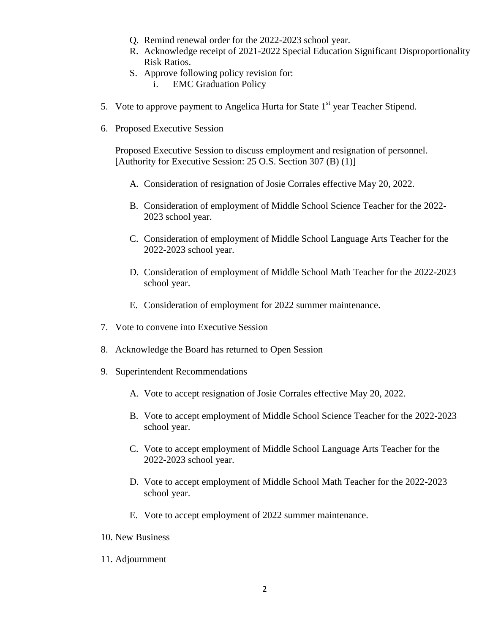- Q. Remind renewal order for the 2022-2023 school year.
- R. Acknowledge receipt of 2021-2022 Special Education Significant Disproportionality Risk Ratios.
- S. Approve following policy revision for:
	- i. EMC Graduation Policy
- 5. Vote to approve payment to Angelica Hurta for State  $1<sup>st</sup>$  year Teacher Stipend.
- 6. Proposed Executive Session

Proposed Executive Session to discuss employment and resignation of personnel. [Authority for Executive Session: 25 O.S. Section 307 (B) (1)]

- A. Consideration of resignation of Josie Corrales effective May 20, 2022.
- B. Consideration of employment of Middle School Science Teacher for the 2022- 2023 school year.
- C. Consideration of employment of Middle School Language Arts Teacher for the 2022-2023 school year.
- D. Consideration of employment of Middle School Math Teacher for the 2022-2023 school year.
- E. Consideration of employment for 2022 summer maintenance.
- 7. Vote to convene into Executive Session
- 8. Acknowledge the Board has returned to Open Session
- 9. Superintendent Recommendations
	- A. Vote to accept resignation of Josie Corrales effective May 20, 2022.
	- B. Vote to accept employment of Middle School Science Teacher for the 2022-2023 school year.
	- C. Vote to accept employment of Middle School Language Arts Teacher for the 2022-2023 school year.
	- D. Vote to accept employment of Middle School Math Teacher for the 2022-2023 school year.
	- E. Vote to accept employment of 2022 summer maintenance.
- 10. New Business
- 11. Adjournment